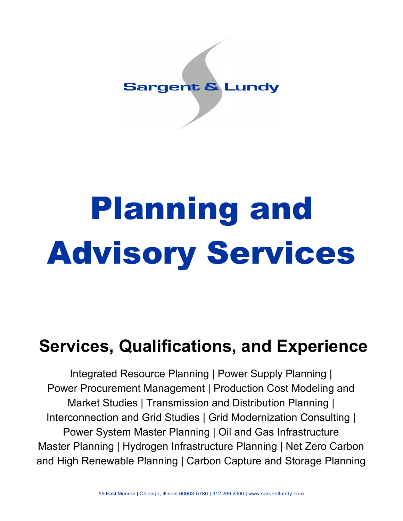## **Sargent & Lundy**

# Planning and Advisory Services

# **Services, Qualifications, and Experience**

Integrated Resource Planning | Power Supply Planning | Power Procurement Management | Production Cost Modeling and Market Studies | Transmission and Distribution Planning | Interconnection and Grid Studies | Grid Modernization Consulting | Power System Master Planning | Oil and Gas Infrastructure Master Planning | Hydrogen Infrastructure Planning | Net Zero Carbon and High Renewable Planning | Carbon Capture and Storage Planning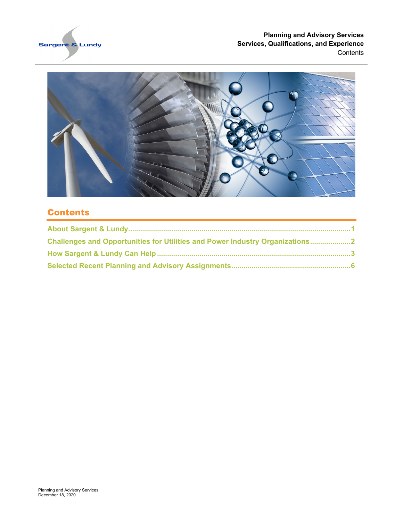

#### **Planning and Advisory Services Services, Qualifications, and Experience Contents**



#### **Contents**

| Challenges and Opportunities for Utilities and Power Industry Organizations2 |  |
|------------------------------------------------------------------------------|--|
|                                                                              |  |
|                                                                              |  |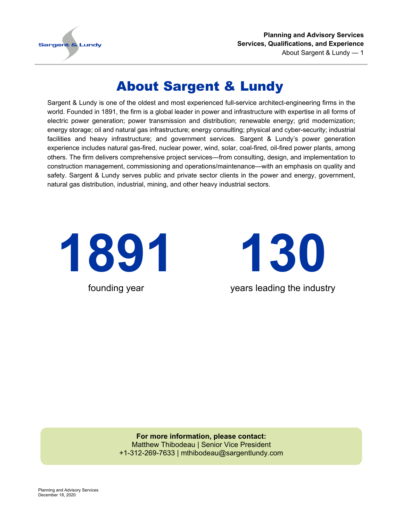

**Planning and Advisory Services Services, Qualifications, and Experience** About Sargent & Lundy — 1

## About Sargent & Lundy

<span id="page-2-0"></span>Sargent & Lundy is one of the oldest and most experienced full-service architect-engineering firms in the world. Founded in 1891, the firm is a global leader in power and infrastructure with expertise in all forms of electric power generation; power transmission and distribution; renewable energy; grid modernization; energy storage; oil and natural gas infrastructure; energy consulting; physical and cyber-security; industrial facilities and heavy infrastructure; and government services. Sargent & Lundy's power generation experience includes natural gas-fired, nuclear power, wind, solar, coal-fired, oil-fired power plants, among others. The firm delivers comprehensive project services—from consulting, design, and implementation to construction management, commissioning and operations/maintenance—with an emphasis on quality and safety. Sargent & Lundy serves public and private sector clients in the power and energy, government, natural gas distribution, industrial, mining, and other heavy industrial sectors.



**130** years leading the industry

**For more information, please contact:** Matthew Thibodeau | Senior Vice President +1-312-269-7633 | mthibodeau@sargentlundy.com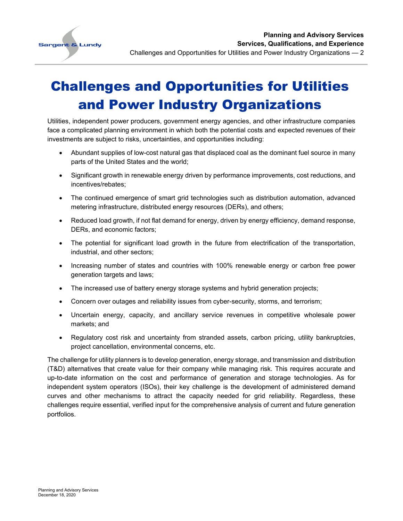

# <span id="page-3-0"></span>Challenges and Opportunities for Utilities and Power Industry Organizations

Utilities, independent power producers, government energy agencies, and other infrastructure companies face a complicated planning environment in which both the potential costs and expected revenues of their investments are subject to risks, uncertainties, and opportunities including:

- Abundant supplies of low-cost natural gas that displaced coal as the dominant fuel source in many parts of the United States and the world;
- Significant growth in renewable energy driven by performance improvements, cost reductions, and incentives/rebates;
- The continued emergence of smart grid technologies such as distribution automation, advanced metering infrastructure, distributed energy resources (DERs), and others;
- Reduced load growth, if not flat demand for energy, driven by energy efficiency, demand response, DERs, and economic factors;
- The potential for significant load growth in the future from electrification of the transportation, industrial, and other sectors;
- Increasing number of states and countries with 100% renewable energy or carbon free power generation targets and laws;
- The increased use of battery energy storage systems and hybrid generation projects;
- Concern over outages and reliability issues from cyber-security, storms, and terrorism;
- Uncertain energy, capacity, and ancillary service revenues in competitive wholesale power markets; and
- Regulatory cost risk and uncertainty from stranded assets, carbon pricing, utility bankruptcies, project cancellation, environmental concerns, etc.

The challenge for utility planners is to develop generation, energy storage, and transmission and distribution (T&D) alternatives that create value for their company while managing risk. This requires accurate and up-to-date information on the cost and performance of generation and storage technologies. As for independent system operators (ISOs), their key challenge is the development of administered demand curves and other mechanisms to attract the capacity needed for grid reliability. Regardless, these challenges require essential, verified input for the comprehensive analysis of current and future generation portfolios.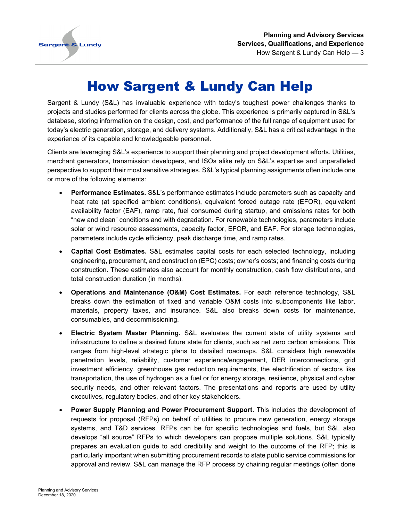

## How Sargent & Lundy Can Help

<span id="page-4-0"></span>Sargent & Lundy (S&L) has invaluable experience with today's toughest power challenges thanks to projects and studies performed for clients across the globe. This experience is primarily captured in S&L's database, storing information on the design, cost, and performance of the full range of equipment used for today's electric generation, storage, and delivery systems. Additionally, S&L has a critical advantage in the experience of its capable and knowledgeable personnel.

Clients are leveraging S&L's experience to support their planning and project development efforts. Utilities, merchant generators, transmission developers, and ISOs alike rely on S&L's expertise and unparalleled perspective to support their most sensitive strategies. S&L's typical planning assignments often include one or more of the following elements:

- **Performance Estimates.** S&L's performance estimates include parameters such as capacity and heat rate (at specified ambient conditions), equivalent forced outage rate (EFOR), equivalent availability factor (EAF), ramp rate, fuel consumed during startup, and emissions rates for both "new and clean" conditions and with degradation. For renewable technologies, parameters include solar or wind resource assessments, capacity factor, EFOR, and EAF. For storage technologies, parameters include cycle efficiency, peak discharge time, and ramp rates.
- **Capital Cost Estimates.** S&L estimates capital costs for each selected technology, including engineering, procurement, and construction (EPC) costs; owner's costs; and financing costs during construction. These estimates also account for monthly construction, cash flow distributions, and total construction duration (in months).
- **Operations and Maintenance (O&M) Cost Estimates.** For each reference technology, S&L breaks down the estimation of fixed and variable O&M costs into subcomponents like labor, materials, property taxes, and insurance. S&L also breaks down costs for maintenance, consumables, and decommissioning.
- **Electric System Master Planning.** S&L evaluates the current state of utility systems and infrastructure to define a desired future state for clients, such as net zero carbon emissions. This ranges from high-level strategic plans to detailed roadmaps. S&L considers high renewable penetration levels, reliability, customer experience/engagement, DER interconnections, grid investment efficiency, greenhouse gas reduction requirements, the electrification of sectors like transportation, the use of hydrogen as a fuel or for energy storage, resilience, physical and cyber security needs, and other relevant factors. The presentations and reports are used by utility executives, regulatory bodies, and other key stakeholders.
- **Power Supply Planning and Power Procurement Support.** This includes the development of requests for proposal (RFPs) on behalf of utilities to procure new generation, energy storage systems, and T&D services. RFPs can be for specific technologies and fuels, but S&L also develops "all source" RFPs to which developers can propose multiple solutions. S&L typically prepares an evaluation guide to add credibility and weight to the outcome of the RFP; this is particularly important when submitting procurement records to state public service commissions for approval and review. S&L can manage the RFP process by chairing regular meetings (often done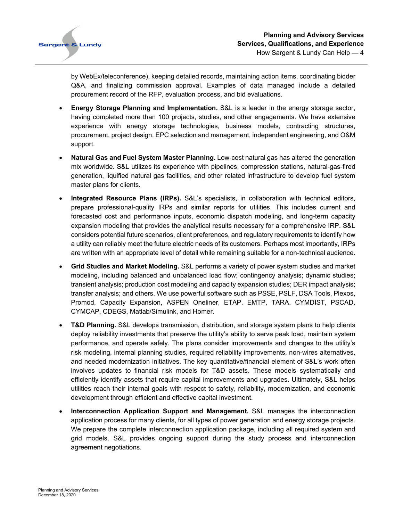

by WebEx/teleconference), keeping detailed records, maintaining action items, coordinating bidder Q&A, and finalizing commission approval. Examples of data managed include a detailed procurement record of the RFP, evaluation process, and bid evaluations.

- **Energy Storage Planning and Implementation.** S&L is a leader in the energy storage sector, having completed more than 100 projects, studies, and other engagements. We have extensive experience with energy storage technologies, business models, contracting structures, procurement, project design, EPC selection and management, independent engineering, and O&M support.
- **Natural Gas and Fuel System Master Planning.** Low-cost natural gas has altered the generation mix worldwide. S&L utilizes its experience with pipelines, compression stations, natural-gas-fired generation, liquified natural gas facilities, and other related infrastructure to develop fuel system master plans for clients.
- **Integrated Resource Plans (IRPs).** S&L's specialists, in collaboration with technical editors, prepare professional-quality IRPs and similar reports for utilities. This includes current and forecasted cost and performance inputs, economic dispatch modeling, and long-term capacity expansion modeling that provides the analytical results necessary for a comprehensive IRP. S&L considers potential future scenarios, client preferences, and regulatory requirements to identify how a utility can reliably meet the future electric needs of its customers. Perhaps most importantly, IRPs are written with an appropriate level of detail while remaining suitable for a non-technical audience.
- **Grid Studies and Market Modeling.** S&L performs a variety of power system studies and market modeling, including balanced and unbalanced load flow; contingency analysis; dynamic studies; transient analysis; production cost modeling and capacity expansion studies; DER impact analysis; transfer analysis; and others. We use powerful software such as PSSE, PSLF, DSA Tools, Plexos, Promod, Capacity Expansion, ASPEN Oneliner, ETAP, EMTP, TARA, CYMDIST, PSCAD, CYMCAP, CDEGS, Matlab/Simulink, and Homer.
- **T&D Planning.** S&L develops transmission, distribution, and storage system plans to help clients deploy reliability investments that preserve the utility's ability to serve peak load, maintain system performance, and operate safely. The plans consider improvements and changes to the utility's risk modeling, internal planning studies, required reliability improvements, non-wires alternatives, and needed modernization initiatives. The key quantitative/financial element of S&L's work often involves updates to financial risk models for T&D assets. These models systematically and efficiently identify assets that require capital improvements and upgrades. Ultimately, S&L helps utilities reach their internal goals with respect to safety, reliability, modernization, and economic development through efficient and effective capital investment.
- **Interconnection Application Support and Management.** S&L manages the interconnection application process for many clients, for all types of power generation and energy storage projects. We prepare the complete interconnection application package, including all required system and grid models. S&L provides ongoing support during the study process and interconnection agreement negotiations.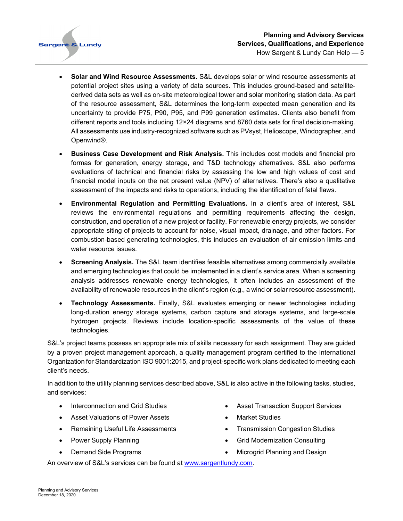- **Solar and Wind Resource Assessments.** S&L develops solar or wind resource assessments at potential project sites using a variety of data sources. This includes ground-based and satellitederived data sets as well as on-site meteorological tower and solar monitoring station data. As part of the resource assessment, S&L determines the long-term expected mean generation and its uncertainty to provide P75, P90, P95, and P99 generation estimates. Clients also benefit from different reports and tools including 12×24 diagrams and 8760 data sets for final decision-making. All assessments use industry-recognized software such as PVsyst, Helioscope, Windographer, and Openwind®.
- **Business Case Development and Risk Analysis.** This includes cost models and financial pro formas for generation, energy storage, and T&D technology alternatives. S&L also performs evaluations of technical and financial risks by assessing the low and high values of cost and financial model inputs on the net present value (NPV) of alternatives. There's also a qualitative assessment of the impacts and risks to operations, including the identification of fatal flaws.
- **Environmental Regulation and Permitting Evaluations.** In a client's area of interest, S&L reviews the environmental regulations and permitting requirements affecting the design, construction, and operation of a new project or facility. For renewable energy projects, we consider appropriate siting of projects to account for noise, visual impact, drainage, and other factors. For combustion-based generating technologies, this includes an evaluation of air emission limits and water resource issues.
- **Screening Analysis.** The S&L team identifies feasible alternatives among commercially available and emerging technologies that could be implemented in a client's service area. When a screening analysis addresses renewable energy technologies, it often includes an assessment of the availability of renewable resources in the client's region (e.g., a wind or solar resource assessment).
- **Technology Assessments.** Finally, S&L evaluates emerging or newer technologies including long-duration energy storage systems, carbon capture and storage systems, and large-scale hydrogen projects. Reviews include location-specific assessments of the value of these technologies.

S&L's project teams possess an appropriate mix of skills necessary for each assignment. They are guided by a proven project management approach, a quality management program certified to the International Organization for Standardization ISO 9001:2015, and project-specific work plans dedicated to meeting each client's needs.

In addition to the utility planning services described above, S&L is also active in the following tasks, studies, and services:

- Interconnection and Grid Studies
- Asset Valuations of Power Assets
- Remaining Useful Life Assessments
- Power Supply Planning
- Demand Side Programs
- Asset Transaction Support Services
- Market Studies
- Transmission Congestion Studies
- Grid Modernization Consulting
- Microgrid Planning and Design

An overview of S&L's services can be found at www.sargentlundy.com.

**Sargent & Lundy**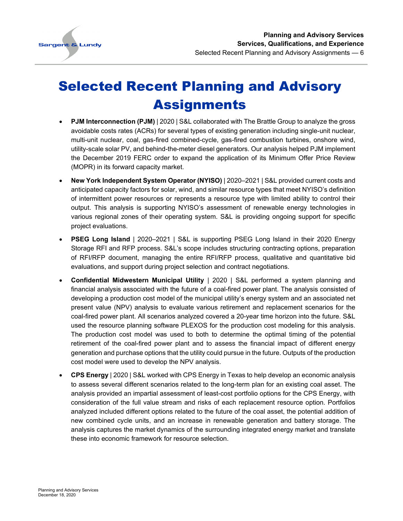

## <span id="page-7-0"></span>Selected Recent Planning and Advisory **Assignments**

- **PJM Interconnection (PJM)** | 2020 | S&L collaborated with The Brattle Group to analyze the gross avoidable costs rates (ACRs) for several types of existing generation including single-unit nuclear, multi-unit nuclear, coal, gas-fired combined-cycle, gas-fired combustion turbines, onshore wind, utility-scale solar PV, and behind-the-meter diesel generators. Our analysis helped PJM implement the December 2019 FERC order to expand the application of its Minimum Offer Price Review (MOPR) in its forward capacity market.
- **New York Independent System Operator (NYISO)** | 2020–2021 | S&L provided current costs and anticipated capacity factors for solar, wind, and similar resource types that meet NYISO's definition of intermittent power resources or represents a resource type with limited ability to control their output. This analysis is supporting NYISO's assessment of renewable energy technologies in various regional zones of their operating system. S&L is providing ongoing support for specific project evaluations.
- **PSEG Long Island** | 2020–2021 | S&L is supporting PSEG Long Island in their 2020 Energy Storage RFI and RFP process. S&L's scope includes structuring contracting options, preparation of RFI/RFP document, managing the entire RFI/RFP process, qualitative and quantitative bid evaluations, and support during project selection and contract negotiations.
- **Confidential Midwestern Municipal Utility** | 2020 | S&L performed a system planning and financial analysis associated with the future of a coal-fired power plant. The analysis consisted of developing a production cost model of the municipal utility's energy system and an associated net present value (NPV) analysis to evaluate various retirement and replacement scenarios for the coal-fired power plant. All scenarios analyzed covered a 20-year time horizon into the future. S&L used the resource planning software PLEXOS for the production cost modeling for this analysis. The production cost model was used to both to determine the optimal timing of the potential retirement of the coal-fired power plant and to assess the financial impact of different energy generation and purchase options that the utility could pursue in the future. Outputs of the production cost model were used to develop the NPV analysis.
- **CPS Energy** | 2020 | S&L worked with CPS Energy in Texas to help develop an economic analysis to assess several different scenarios related to the long-term plan for an existing coal asset. The analysis provided an impartial assessment of least-cost portfolio options for the CPS Energy, with consideration of the full value stream and risks of each replacement resource option. Portfolios analyzed included different options related to the future of the coal asset, the potential addition of new combined cycle units, and an increase in renewable generation and battery storage. The analysis captures the market dynamics of the surrounding integrated energy market and translate these into economic framework for resource selection.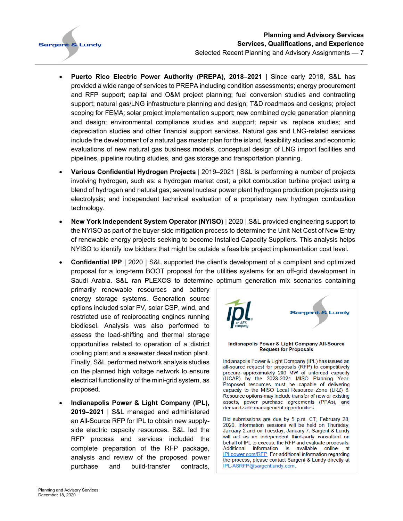

- **Puerto Rico Electric Power Authority (PREPA), 2018–2021** | Since early 2018, S&L has provided a wide range of services to PREPA including condition assessments; energy procurement and RFP support; capital and O&M project planning; fuel conversion studies and contracting support; natural gas/LNG infrastructure planning and design; T&D roadmaps and designs; project scoping for FEMA; solar project implementation support; new combined cycle generation planning and design; environmental compliance studies and support; repair vs. replace studies; and depreciation studies and other financial support services. Natural gas and LNG-related services include the development of a natural gas master plan for the island, feasibility studies and economic evaluations of new natural gas business models, conceptual design of LNG import facilities and pipelines, pipeline routing studies, and gas storage and transportation planning.
- **Various Confidential Hydrogen Projects** | 2019–2021 | S&L is performing a number of projects involving hydrogen, such as: a hydrogen market cost; a pilot combustion turbine project using a blend of hydrogen and natural gas; several nuclear power plant hydrogen production projects using electrolysis; and independent technical evaluation of a proprietary new hydrogen combustion technology.
- **New York Independent System Operator (NYISO)** | 2020 | S&L provided engineering support to the NYISO as part of the buyer-side mitigation process to determine the Unit Net Cost of New Entry of renewable energy projects seeking to become Installed Capacity Suppliers. This analysis helps NYISO to identify low bidders that might be outside a feasible project implementation cost level.
- **Confidential IPP** | 2020 | S&L supported the client's development of a compliant and optimized proposal for a long-term BOOT proposal for the utilities systems for an off-grid development in Saudi Arabia. S&L ran PLEXOS to determine optimum generation mix scenarios containing

primarily renewable resources and battery energy storage systems. Generation source options included solar PV, solar CSP, wind, and restricted use of reciprocating engines running biodiesel. Analysis was also performed to assess the load-shifting and thermal storage opportunities related to operation of a district cooling plant and a seawater desalination plant. Finally, S&L performed network analysis studies on the planned high voltage network to ensure electrical functionality of the mini-grid system, as proposed.

• **Indianapolis Power & Light Company (IPL), 2019–2021** | S&L managed and administered an All-Source RFP for IPL to obtain new supplyside electric capacity resources. S&L led the RFP process and services included the complete preparation of the RFP package, analysis and review of the proposed power purchase and build-transfer contracts,

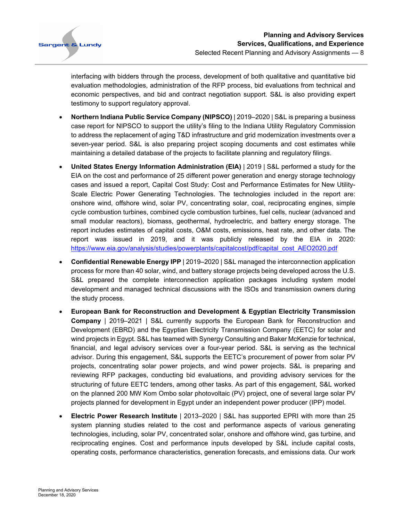

interfacing with bidders through the process, development of both qualitative and quantitative bid evaluation methodologies, administration of the RFP process, bid evaluations from technical and economic perspectives, and bid and contract negotiation support. S&L is also providing expert testimony to support regulatory approval.

- **Northern Indiana Public Service Company (NIPSCO)** | 2019–2020 | S&L is preparing a business case report for NIPSCO to support the utility's filing to the Indiana Utility Regulatory Commission to address the replacement of aging T&D infrastructure and grid modernization investments over a seven-year period. S&L is also preparing project scoping documents and cost estimates while maintaining a detailed database of the projects to facilitate planning and regulatory filings.
- **United States Energy Information Administration (EIA)** | 2019 | S&L performed a study for the EIA on the cost and performance of 25 different power generation and energy storage technology cases and issued a report, Capital Cost Study: Cost and Performance Estimates for New Utility-Scale Electric Power Generating Technologies. The technologies included in the report are: onshore wind, offshore wind, solar PV, concentrating solar, coal, reciprocating engines, simple cycle combustion turbines, combined cycle combustion turbines, fuel cells, nuclear (advanced and small modular reactors), biomass, geothermal, hydroelectric, and battery energy storage. The report includes estimates of capital costs, O&M costs, emissions, heat rate, and other data. The report was issued in 2019, and it was publicly released by the EIA in 2020: [https://www.eia.gov/analysis/studies/powerplants/capitalcost/pdf/capital\\_cost\\_AEO2020.pdf](https://www.eia.gov/analysis/studies/powerplants/capitalcost/pdf/capital_cost_AEO2020.pdf)
- **Confidential Renewable Energy IPP** | 2019–2020 | S&L managed the interconnection application process for more than 40 solar, wind, and battery storage projects being developed across the U.S. S&L prepared the complete interconnection application packages including system model development and managed technical discussions with the ISOs and transmission owners during the study process.
- **European Bank for Reconstruction and Development & Egyptian Electricity Transmission Company** | 2019–2021 | S&L currently supports the European Bank for Reconstruction and Development (EBRD) and the Egyptian Electricity Transmission Company (EETC) for solar and wind projects in Egypt. S&L has teamed with Synergy Consulting and Baker McKenzie for technical, financial, and legal advisory services over a four-year period. S&L is serving as the technical advisor. During this engagement, S&L supports the EETC's procurement of power from solar PV projects, concentrating solar power projects, and wind power projects. S&L is preparing and reviewing RFP packages, conducting bid evaluations, and providing advisory services for the structuring of future EETC tenders, among other tasks. As part of this engagement, S&L worked on the planned 200 MW Kom Ombo solar photovoltaic (PV) project, one of several large solar PV projects planned for development in Egypt under an independent power producer (IPP) model.
- **Electric Power Research Institute** | 2013–2020 | S&L has supported EPRI with more than 25 system planning studies related to the cost and performance aspects of various generating technologies, including, solar PV, concentrated solar, onshore and offshore wind, gas turbine, and reciprocating engines. Cost and performance inputs developed by S&L include capital costs, operating costs, performance characteristics, generation forecasts, and emissions data. Our work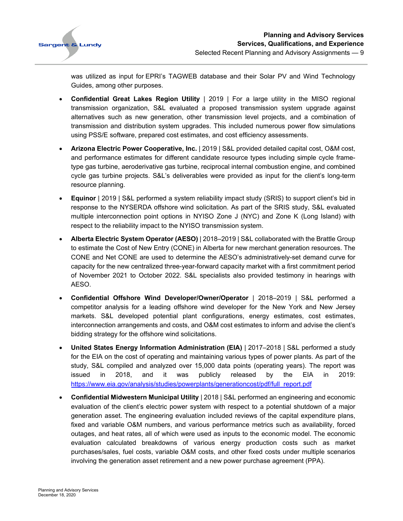

was utilized as input for EPRI's TAGWEB database and their Solar PV and Wind Technology Guides, among other purposes.

- **Confidential Great Lakes Region Utility** | 2019 | For a large utility in the MISO regional transmission organization, S&L evaluated a proposed transmission system upgrade against alternatives such as new generation, other transmission level projects, and a combination of transmission and distribution system upgrades. This included numerous power flow simulations using PSS/E software, prepared cost estimates, and cost efficiency assessments.
- **Arizona Electric Power Cooperative, Inc.** | 2019 | S&L provided detailed capital cost, O&M cost, and performance estimates for different candidate resource types including simple cycle frametype gas turbine, aeroderivative gas turbine, reciprocal internal combustion engine, and combined cycle gas turbine projects. S&L's deliverables were provided as input for the client's long-term resource planning.
- **Equinor** | 2019 | S&L performed a system reliability impact study (SRIS) to support client's bid in response to the NYSERDA offshore wind solicitation. As part of the SRIS study, S&L evaluated multiple interconnection point options in NYISO Zone J (NYC) and Zone K (Long Island) with respect to the reliability impact to the NYISO transmission system.
- **Alberta Electric System Operator (AESO)** | 2018–2019 | S&L collaborated with the Brattle Group to estimate the Cost of New Entry (CONE) in Alberta for new merchant generation resources. The CONE and Net CONE are used to determine the AESO's administratively-set demand curve for capacity for the new centralized three-year-forward capacity market with a first commitment period of November 2021 to October 2022. S&L specialists also provided testimony in hearings with AESO.
- **Confidential Offshore Wind Developer/Owner/Operator** | 2018–2019 | S&L performed a competitor analysis for a leading offshore wind developer for the New York and New Jersey markets. S&L developed potential plant configurations, energy estimates, cost estimates, interconnection arrangements and costs, and O&M cost estimates to inform and advise the client's bidding strategy for the offshore wind solicitations.
- **United States Energy Information Administration (EIA)** | 2017–2018 | S&L performed a study for the EIA on the cost of operating and maintaining various types of power plants. As part of the study, S&L compiled and analyzed over 15,000 data points (operating years). The report was issued in 2018, and it was publicly released by the EIA in 2019: [https://www.eia.gov/analysis/studies/powerplants/generationcost/pdf/full\\_report.pdf](https://www.eia.gov/analysis/studies/powerplants/generationcost/pdf/full_report.pdf)
- **Confidential Midwestern Municipal Utility** | 2018 | S&L performed an engineering and economic evaluation of the client's electric power system with respect to a potential shutdown of a major generation asset. The engineering evaluation included reviews of the capital expenditure plans, fixed and variable O&M numbers, and various performance metrics such as availability, forced outages, and heat rates, all of which were used as inputs to the economic model. The economic evaluation calculated breakdowns of various energy production costs such as market purchases/sales, fuel costs, variable O&M costs, and other fixed costs under multiple scenarios involving the generation asset retirement and a new power purchase agreement (PPA).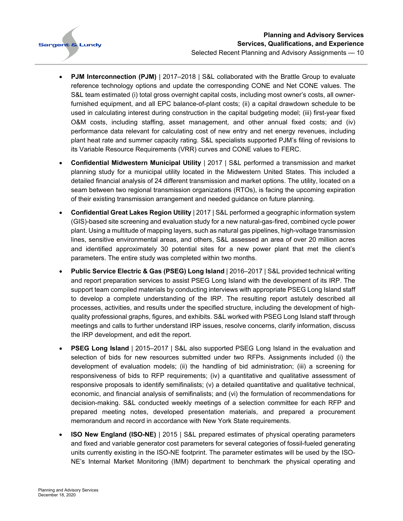

- **PJM Interconnection (PJM)** | 2017–2018 | S&L collaborated with the Brattle Group to evaluate reference technology options and update the corresponding CONE and Net CONE values. The S&L team estimated (i) total gross overnight capital costs, including most owner's costs, all ownerfurnished equipment, and all EPC balance-of-plant costs; (ii) a capital drawdown schedule to be used in calculating interest during construction in the capital budgeting model; (iii) first-year fixed O&M costs, including staffing, asset management, and other annual fixed costs; and (iv) performance data relevant for calculating cost of new entry and net energy revenues, including plant heat rate and summer capacity rating. S&L specialists supported PJM's filing of revisions to its Variable Resource Requirements (VRR) curves and CONE values to FERC.
- **Confidential Midwestern Municipal Utility** | 2017 | S&L performed a transmission and market planning study for a municipal utility located in the Midwestern United States. This included a detailed financial analysis of 24 different transmission and market options. The utility, located on a seam between two regional transmission organizations (RTOs), is facing the upcoming expiration of their existing transmission arrangement and needed guidance on future planning.
- **Confidential Great Lakes Region Utility** | 2017 | S&L performed a geographic information system (GIS)-based site screening and evaluation study for a new natural-gas-fired, combined cycle power plant. Using a multitude of mapping layers, such as natural gas pipelines, high-voltage transmission lines, sensitive environmental areas, and others, S&L assessed an area of over 20 million acres and identified approximately 30 potential sites for a new power plant that met the client's parameters. The entire study was completed within two months.
- **Public Service Electric & Gas (PSEG) Long Island** | 2016–2017 | S&L provided technical writing and report preparation services to assist PSEG Long Island with the development of its IRP. The support team compiled materials by conducting interviews with appropriate PSEG Long Island staff to develop a complete understanding of the IRP. The resulting report astutely described all processes, activities, and results under the specified structure, including the development of highquality professional graphs, figures, and exhibits. S&L worked with PSEG Long Island staff through meetings and calls to further understand IRP issues, resolve concerns, clarify information, discuss the IRP development, and edit the report.
- **PSEG Long Island** | 2015–2017 | S&L also supported PSEG Long Island in the evaluation and selection of bids for new resources submitted under two RFPs. Assignments included (i) the development of evaluation models; (ii) the handling of bid administration; (iii) a screening for responsiveness of bids to RFP requirements; (iv) a quantitative and qualitative assessment of responsive proposals to identify semifinalists; (v) a detailed quantitative and qualitative technical, economic, and financial analysis of semifinalists; and (vi) the formulation of recommendations for decision-making. S&L conducted weekly meetings of a selection committee for each RFP and prepared meeting notes, developed presentation materials, and prepared a procurement memorandum and record in accordance with New York State requirements.
- **ISO New England (ISO-NE)** | 2015 | S&L prepared estimates of physical operating parameters and fixed and variable generator cost parameters for several categories of fossil-fueled generating units currently existing in the ISO-NE footprint. The parameter estimates will be used by the ISO-NE's Internal Market Monitoring (IMM) department to benchmark the physical operating and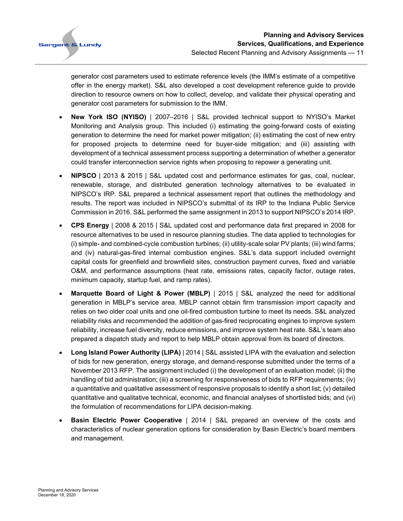

generator cost parameters used to estimate reference levels (the IMM's estimate of a competitive offer in the energy market). S&L also developed a cost development reference guide to provide direction to resource owners on how to collect, develop, and validate their physical operating and generator cost parameters for submission to the IMM.

- **New York ISO (NYISO)** | 2007–2016 | S&L provided technical support to NYISO's Market Monitoring and Analysis group. This included (i) estimating the going-forward costs of existing generation to determine the need for market power mitigation; (ii) estimating the cost of new entry for proposed projects to determine need for buyer-side mitigation; and (iii) assisting with development of a technical assessment process supporting a determination of whether a generator could transfer interconnection service rights when proposing to repower a generating unit.
- **NIPSCO** | 2013 & 2015 | S&L updated cost and performance estimates for gas, coal, nuclear, renewable, storage, and distributed generation technology alternatives to be evaluated in NIPSCO's IRP. S&L prepared a technical assessment report that outlines the methodology and results. The report was included in NIPSCO's submittal of its IRP to the Indiana Public Service Commission in 2016. S&L performed the same assignment in 2013 to support NIPSCO's 2014 IRP.
- **CPS Energy** | 2008 & 2015 | S&L updated cost and performance data first prepared in 2008 for resource alternatives to be used in resource planning studies. The data applied to technologies for (i) simple- and combined-cycle combustion turbines; (ii) utility-scale solar PV plants; (iii) wind farms; and (iv) natural-gas-fired internal combustion engines. S&L's data support included overnight capital costs for greenfield and brownfield sites, construction payment curves, fixed and variable O&M, and performance assumptions (heat rate, emissions rates, capacity factor, outage rates, minimum capacity, startup fuel, and ramp rates).
- **Marquette Board of Light & Power (MBLP)** | 2015 | S&L analyzed the need for additional generation in MBLP's service area. MBLP cannot obtain firm transmission import capacity and relies on two older coal units and one oil-fired combustion turbine to meet its needs. S&L analyzed reliability risks and recommended the addition of gas-fired reciprocating engines to improve system reliability, increase fuel diversity, reduce emissions, and improve system heat rate. S&L's team also prepared a dispatch study and report to help MBLP obtain approval from its board of directors.
- **Long Island Power Authority (LIPA)** | 2014 | S&L assisted LIPA with the evaluation and selection of bids for new generation, energy storage, and demand-response submitted under the terms of a November 2013 RFP. The assignment included (i) the development of an evaluation model; (ii) the handling of bid administration; (iii) a screening for responsiveness of bids to RFP requirements; (iv) a quantitative and qualitative assessment of responsive proposals to identify a short list; (v) detailed quantitative and qualitative technical, economic, and financial analyses of shortlisted bids; and (vi) the formulation of recommendations for LIPA decision-making.
- **Basin Electric Power Cooperative** | 2014 | S&L prepared an overview of the costs and characteristics of nuclear generation options for consideration by Basin Electric's board members and management.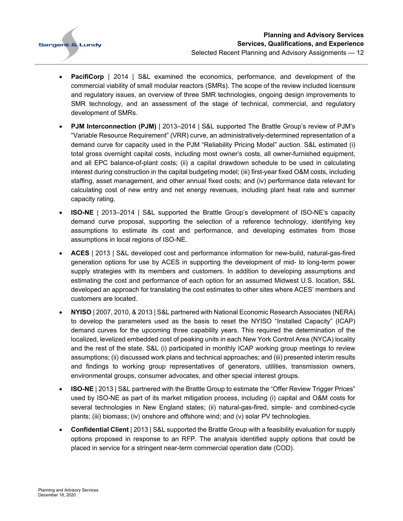

- **PacifiCorp** | 2014 | S&L examined the economics, performance, and development of the commercial viability of small modular reactors (SMRs). The scope of the review included licensure and regulatory issues, an overview of three SMR technologies, ongoing design improvements to SMR technology, and an assessment of the stage of technical, commercial, and regulatory development of SMRs.
- **PJM Interconnection (PJM)** | 2013–2014 | S&L supported The Brattle Group's review of PJM's "Variable Resource Requirement" (VRR) curve, an administratively-determined representation of a demand curve for capacity used in the PJM "Reliability Pricing Model" auction. S&L estimated (i) total gross overnight capital costs, including most owner's costs, all owner-furnished equipment, and all EPC balance-of-plant costs; (ii) a capital drawdown schedule to be used in calculating interest during construction in the capital budgeting model; (iii) first-year fixed O&M costs, including staffing, asset management, and other annual fixed costs; and (iv) performance data relevant for calculating cost of new entry and net energy revenues, including plant heat rate and summer capacity rating.
- **ISO-NE** | 2013–2014 | S&L supported the Brattle Group's development of ISO-NE's capacity demand curve proposal, supporting the selection of a reference technology, identifying key assumptions to estimate its cost and performance, and developing estimates from those assumptions in local regions of ISO-NE.
- **ACES** | 2013 | S&L developed cost and performance information for new-build, natural-gas-fired generation options for use by ACES in supporting the development of mid- to long-term power supply strategies with its members and customers. In addition to developing assumptions and estimating the cost and performance of each option for an assumed Midwest U.S. location, S&L developed an approach for translating the cost estimates to other sites where ACES' members and customers are located.
- **NYISO** | 2007, 2010, & 2013 | S&L partnered with National Economic Research Associates (NERA) to develop the parameters used as the basis to reset the NYISO "Installed Capacity" (ICAP) demand curves for the upcoming three capability years. This required the determination of the localized, levelized embedded cost of peaking units in each New York Control Area (NYCA) locality and the rest of the state. S&L (i) participated in monthly ICAP working group meetings to review assumptions; (ii) discussed work plans and technical approaches; and (iii) presented interim results and findings to working group representatives of generators, utilities, transmission owners, environmental groups, consumer advocates, and other special interest groups.
- **ISO-NE** | 2013 | S&L partnered with the Brattle Group to estimate the "Offer Review Trigger Prices" used by ISO-NE as part of its market mitigation process, including (i) capital and O&M costs for several technologies in New England states; (ii) natural-gas-fired, simple- and combined-cycle plants; (iii) biomass; (iv) onshore and offshore wind; and (v) solar PV technologies.
- **Confidential Client** | 2013 | S&L supported the Brattle Group with a feasibility evaluation for supply options proposed in response to an RFP. The analysis identified supply options that could be placed in service for a stringent near-term commercial operation date (COD).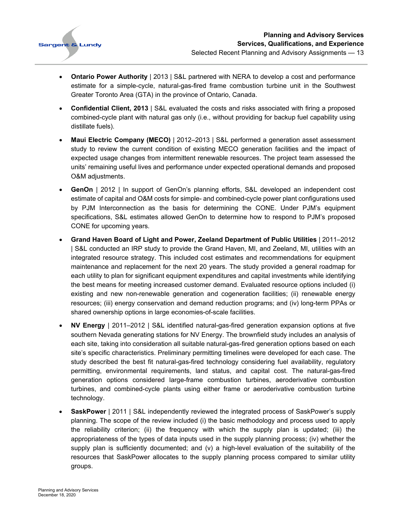

- **Ontario Power Authority** | 2013 | S&L partnered with NERA to develop a cost and performance estimate for a simple-cycle, natural-gas-fired frame combustion turbine unit in the Southwest Greater Toronto Area (GTA) in the province of Ontario, Canada.
- **Confidential Client, 2013** | S&L evaluated the costs and risks associated with firing a proposed combined-cycle plant with natural gas only (i.e., without providing for backup fuel capability using distillate fuels).
- **Maui Electric Company (MECO)** | 2012–2013 | S&L performed a generation asset assessment study to review the current condition of existing MECO generation facilities and the impact of expected usage changes from intermittent renewable resources. The project team assessed the units' remaining useful lives and performance under expected operational demands and proposed O&M adjustments.
- **GenOn** | 2012 | In support of GenOn's planning efforts, S&L developed an independent cost estimate of capital and O&M costs for simple- and combined-cycle power plant configurations used by PJM Interconnection as the basis for determining the CONE. Under PJM's equipment specifications, S&L estimates allowed GenOn to determine how to respond to PJM's proposed CONE for upcoming years.
- **Grand Haven Board of Light and Power, Zeeland Department of Public Utilities** | 2011–2012 | S&L conducted an IRP study to provide the Grand Haven, MI, and Zeeland, MI, utilities with an integrated resource strategy. This included cost estimates and recommendations for equipment maintenance and replacement for the next 20 years. The study provided a general roadmap for each utility to plan for significant equipment expenditures and capital investments while identifying the best means for meeting increased customer demand. Evaluated resource options included (i) existing and new non-renewable generation and cogeneration facilities; (ii) renewable energy resources; (iii) energy conservation and demand reduction programs; and (iv) long-term PPAs or shared ownership options in large economies-of-scale facilities.
- **NV Energy** | 2011–2012 | S&L identified natural-gas-fired generation expansion options at five southern Nevada generating stations for NV Energy. The brownfield study includes an analysis of each site, taking into consideration all suitable natural-gas-fired generation options based on each site's specific characteristics. Preliminary permitting timelines were developed for each case. The study described the best fit natural-gas-fired technology considering fuel availability, regulatory permitting, environmental requirements, land status, and capital cost. The natural-gas-fired generation options considered large-frame combustion turbines, aeroderivative combustion turbines, and combined-cycle plants using either frame or aeroderivative combustion turbine technology.
- **SaskPower** | 2011 | S&L independently reviewed the integrated process of SaskPower's supply planning. The scope of the review included (i) the basic methodology and process used to apply the reliability criterion; (ii) the frequency with which the supply plan is updated; (iii) the appropriateness of the types of data inputs used in the supply planning process; (iv) whether the supply plan is sufficiently documented; and (v) a high-level evaluation of the suitability of the resources that SaskPower allocates to the supply planning process compared to similar utility groups.